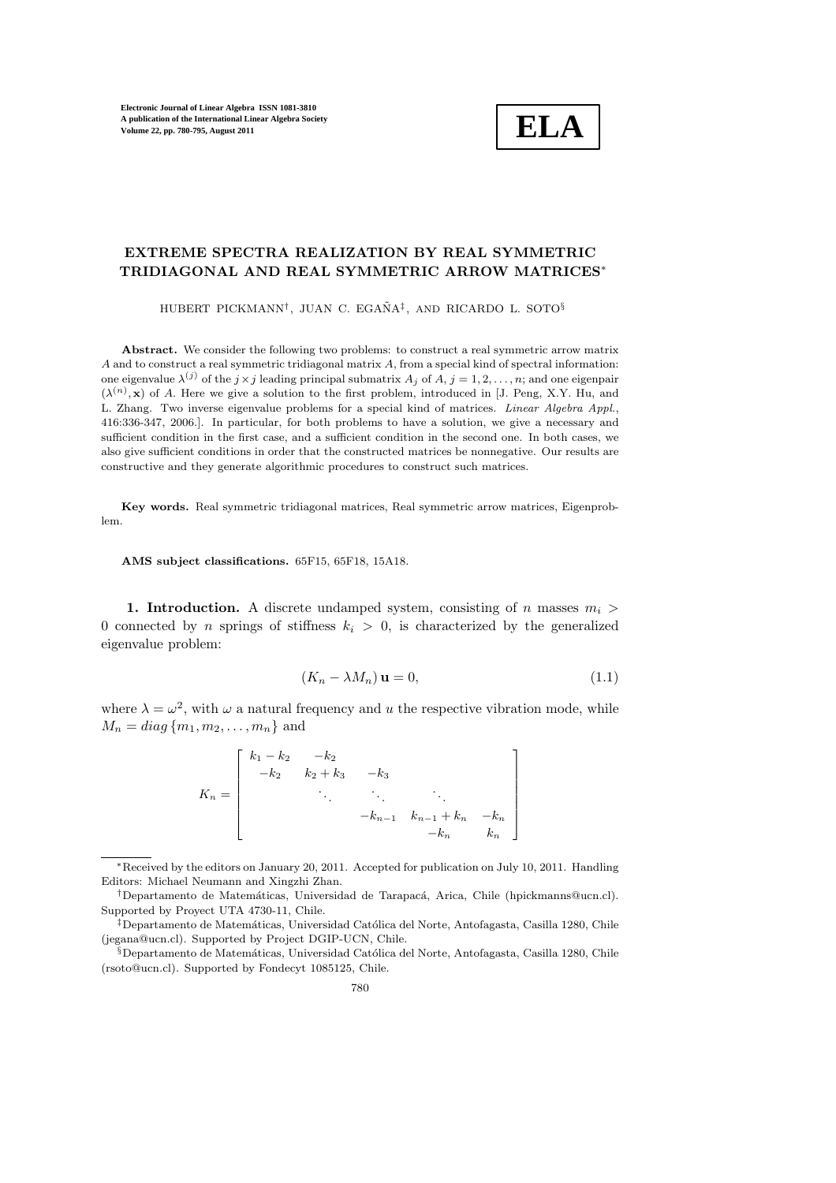

## EXTREME SPECTRA REALIZATION BY REAL SYMMETRIC TRIDIAGONAL AND REAL SYMMETRIC ARROW MATRICES∗

HUBERT PICKMANN<sup>†</sup>, JUAN C. EGAÑA<sup>‡</sup>, AND RICARDO L. SOTO<sup>§</sup>

Abstract. We consider the following two problems: to construct a real symmetric arrow matrix A and to construct a real symmetric tridiagonal matrix A, from a special kind of spectral information: one eigenvalue  $\lambda^{(j)}$  of the  $j \times j$  leading principal submatrix  $A_j$  of  $A, j = 1, 2, \ldots, n$ ; and one eigenpair  $(\lambda^{(n)}, \mathbf{x})$  of A. Here we give a solution to the first problem, introduced in [J. Peng, X.Y. Hu, and L. Zhang. Two inverse eigenvalue problems for a special kind of matrices. Linear Algebra Appl., 416:336-347, 2006.]. In particular, for both problems to have a solution, we give a necessary and sufficient condition in the first case, and a sufficient condition in the second one. In both cases, we also give sufficient conditions in order that the constructed matrices be nonnegative. Our results are constructive and they generate algorithmic procedures to construct such matrices.

Key words. Real symmetric tridiagonal matrices, Real symmetric arrow matrices, Eigenproblem.

AMS subject classifications. 65F15, 65F18, 15A18.

1. Introduction. A discrete undamped system, consisting of n masses  $m_i >$ 0 connected by n springs of stiffness  $k_i > 0$ , is characterized by the generalized eigenvalue problem:

$$
(K_n - \lambda M_n) \mathbf{u} = 0,\t\t(1.1)
$$

where  $\lambda = \omega^2$ , with  $\omega$  a natural frequency and u the respective vibration mode, while  $M_n = diag\{m_1, m_2, \ldots, m_n\}$  and

$$
K_n = \begin{bmatrix} k_1 - k_2 & -k_2 & & & \\ -k_2 & k_2 + k_3 & -k_3 & & \\ & \ddots & \ddots & \ddots & \\ & & -k_{n-1} & k_{n-1} + k_n & -k_n \\ & & & -k_n & k_n \end{bmatrix}
$$

<sup>∗</sup>Received by the editors on January 20, 2011. Accepted for publication on July 10, 2011. Handling Editors: Michael Neumann and Xingzhi Zhan.

<sup>&</sup>lt;sup>†</sup>Departamento de Matemáticas, Universidad de Tarapacá, Arica, Chile (hpickmanns@ucn.cl). Supported by Proyect UTA 4730-11, Chile.

<sup>&</sup>lt;sup>‡</sup>Departamento de Matemáticas, Universidad Católica del Norte, Antofagasta, Casilla 1280, Chile (jegana@ucn.cl). Supported by Project DGIP-UCN, Chile.

<sup>§</sup>Departamento de Matemáticas, Universidad Católica del Norte, Antofagasta, Casilla 1280, Chile (rsoto@ucn.cl). Supported by Fondecyt 1085125, Chile.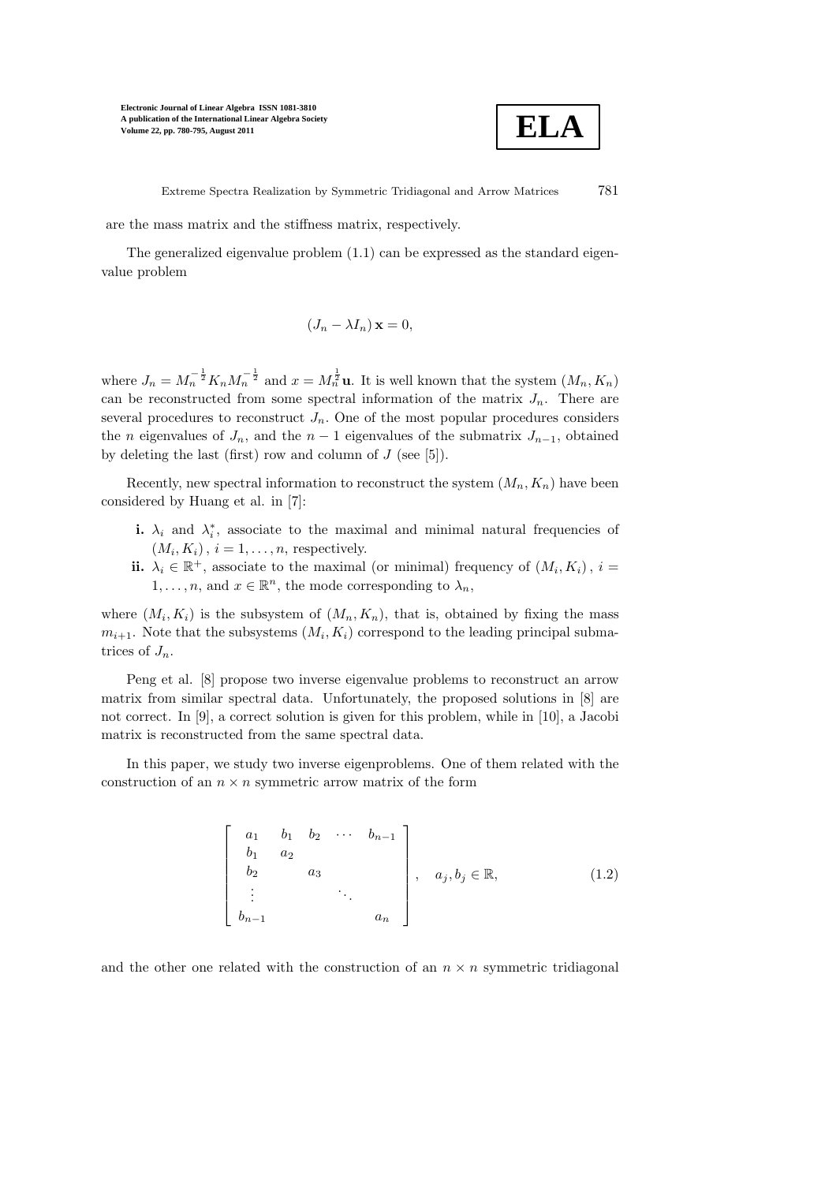

Extreme Spectra Realization by Symmetric Tridiagonal and Arrow Matrices 781

are the mass matrix and the stiffness matrix, respectively.

The generalized eigenvalue problem (1.1) can be expressed as the standard eigenvalue problem

$$
(J_n - \lambda I_n) \mathbf{x} = 0,
$$

where  $J_n = M_n^{-\frac{1}{2}} K_n M_n^{-\frac{1}{2}}$  and  $x = M_n^{\frac{1}{2}}$ **u**. It is well known that the system  $(M_n, K_n)$ can be reconstructed from some spectral information of the matrix  $J_n$ . There are several procedures to reconstruct  $J_n$ . One of the most popular procedures considers the *n* eigenvalues of  $J_n$ , and the  $n-1$  eigenvalues of the submatrix  $J_{n-1}$ , obtained by deleting the last (first) row and column of  $J$  (see [5]).

Recently, new spectral information to reconstruct the system  $(M_n, K_n)$  have been considered by Huang et al. in [7]:

- **i.**  $\lambda_i$  and  $\lambda_i^*$ , associate to the maximal and minimal natural frequencies of  $(M_i, K_i), i = 1, \ldots, n$ , respectively.
- ii.  $\lambda_i \in \mathbb{R}^+$ , associate to the maximal (or minimal) frequency of  $(M_i, K_i)$ ,  $i =$  $1, \ldots, n$ , and  $x \in \mathbb{R}^n$ , the mode corresponding to  $\lambda_n$ ,

where  $(M_i, K_i)$  is the subsystem of  $(M_n, K_n)$ , that is, obtained by fixing the mass  $m_{i+1}$ . Note that the subsystems  $(M_i, K_i)$  correspond to the leading principal submatrices of  $J_n$ .

Peng et al. [8] propose two inverse eigenvalue problems to reconstruct an arrow matrix from similar spectral data. Unfortunately, the proposed solutions in [8] are not correct. In [9], a correct solution is given for this problem, while in [10], a Jacobi matrix is reconstructed from the same spectral data.

In this paper, we study two inverse eigenproblems. One of them related with the construction of an  $n \times n$  symmetric arrow matrix of the form

$$
\begin{bmatrix} a_1 & b_1 & b_2 & \cdots & b_{n-1} \\ b_1 & a_2 & & & \\ b_2 & a_3 & & & \\ \vdots & & \ddots & & \\ b_{n-1} & & & a_n \end{bmatrix}, \quad a_j, b_j \in \mathbb{R}, \tag{1.2}
$$

and the other one related with the construction of an  $n \times n$  symmetric tridiagonal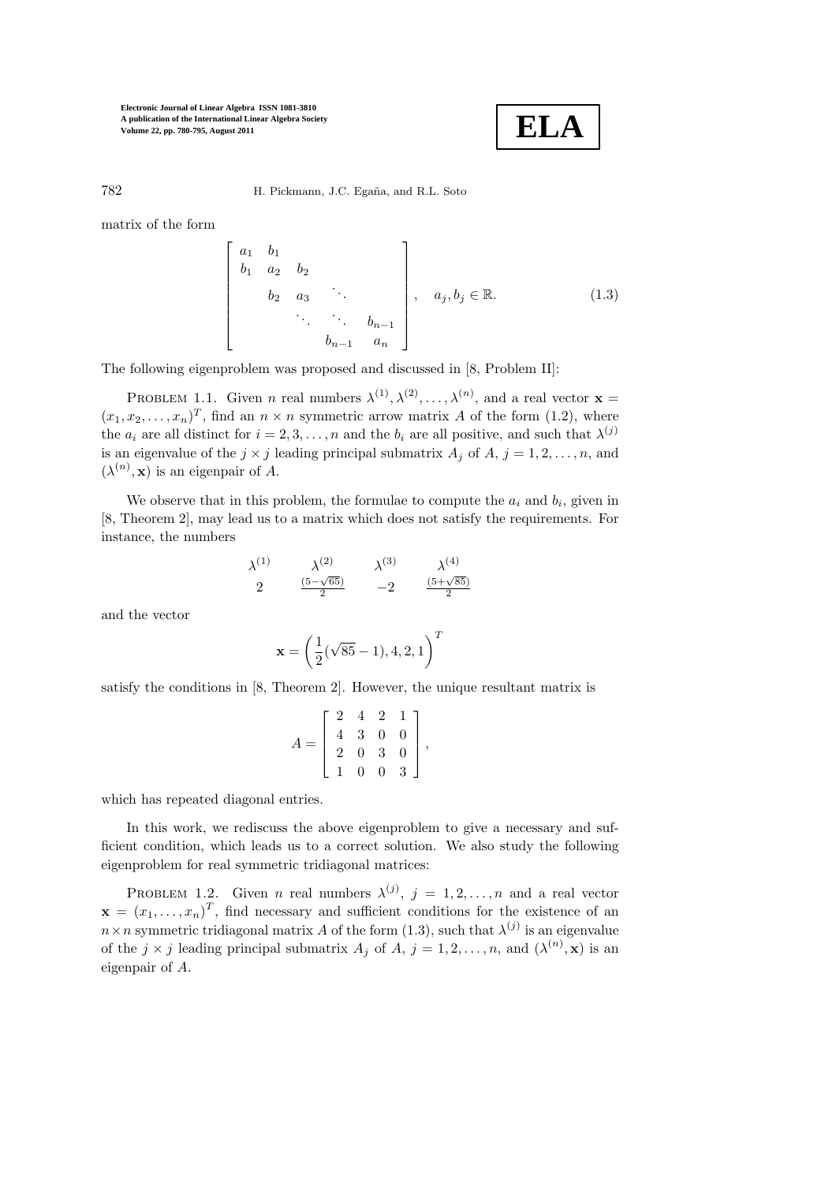

782 H. Pickmann, J.C. Egaña, and R.L. Soto

matrix of the form

$$
\begin{bmatrix} a_1 & b_1 \\ b_1 & a_2 & b_2 \\ & b_2 & a_3 & \cdots \\ & & \ddots & \ddots & b_{n-1} \\ & & & b_{n-1} & a_n \end{bmatrix}, \quad a_j, b_j \in \mathbb{R}.
$$
 (1.3)

The following eigenproblem was proposed and discussed in [8, Problem II]:

PROBLEM 1.1. Given *n* real numbers  $\lambda^{(1)}, \lambda^{(2)}, \ldots, \lambda^{(n)}$ , and a real vector **x** =  $(x_1, x_2, \ldots, x_n)^T$ , find an  $n \times n$  symmetric arrow matrix A of the form (1.2), where the  $a_i$  are all distinct for  $i = 2, 3, ..., n$  and the  $b_i$  are all positive, and such that  $\lambda^{(j)}$ is an eigenvalue of the  $j \times j$  leading principal submatrix  $A_j$  of  $A_j$ ,  $j = 1, 2, \ldots, n$ , and  $(\lambda^{(n)}, \mathbf{x})$  is an eigenpair of A.

We observe that in this problem, the formulae to compute the  $a_i$  and  $b_i$ , given in [8, Theorem 2], may lead us to a matrix which does not satisfy the requirements. For instance, the numbers

$$
\lambda^{(1)}
$$
\n $\lambda^{(2)}$ \n $\lambda^{(3)}$ \n $\lambda^{(4)}$ \n  
\n2\n $\frac{(5-\sqrt{65})}{2}$ \n $-2$ \n $\frac{(5+\sqrt{85})}{2}$ 

and the vector

$$
\mathbf{x}=\left(\frac{1}{2}(\sqrt{85}-1),4,2,1\right)^T
$$

satisfy the conditions in [8, Theorem 2]. However, the unique resultant matrix is

$$
A = \left[ \begin{array}{rrrr} 2 & 4 & 2 & 1 \\ 4 & 3 & 0 & 0 \\ 2 & 0 & 3 & 0 \\ 1 & 0 & 0 & 3 \end{array} \right],
$$

which has repeated diagonal entries.

In this work, we rediscuss the above eigenproblem to give a necessary and sufficient condition, which leads us to a correct solution. We also study the following eigenproblem for real symmetric tridiagonal matrices:

PROBLEM 1.2. Given *n* real numbers  $\lambda^{(j)}$ ,  $j = 1, 2, ..., n$  and a real vector  $\mathbf{x} = (x_1, \dots, x_n)^T$ , find necessary and sufficient conditions for the existence of an  $n \times n$  symmetric tridiagonal matrix A of the form (1.3), such that  $\lambda^{(j)}$  is an eigenvalue of the  $j \times j$  leading principal submatrix  $A_j$  of  $A, j = 1, 2, ..., n$ , and  $(\lambda^{(n)}, \mathbf{x})$  is an eigenpair of A.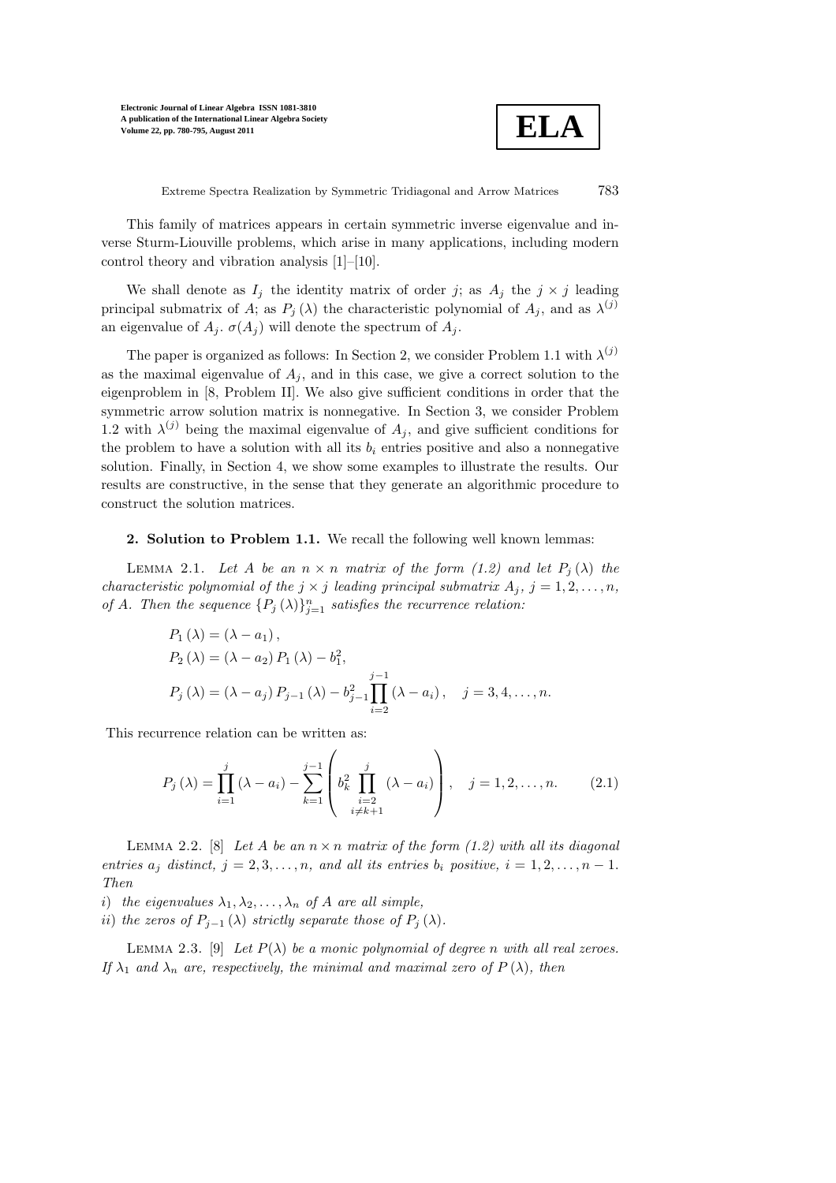

Extreme Spectra Realization by Symmetric Tridiagonal and Arrow Matrices 783

This family of matrices appears in certain symmetric inverse eigenvalue and inverse Sturm-Liouville problems, which arise in many applications, including modern control theory and vibration analysis [1]–[10].

We shall denote as  $I_j$  the identity matrix of order j; as  $A_j$  the  $j \times j$  leading principal submatrix of A; as  $P_j(\lambda)$  the characteristic polynomial of  $A_j$ , and as  $\lambda^{(j)}$ an eigenvalue of  $A_i$ .  $\sigma(A_i)$  will denote the spectrum of  $A_i$ .

The paper is organized as follows: In Section 2, we consider Problem 1.1 with  $\lambda^{(j)}$ as the maximal eigenvalue of  $A_j$ , and in this case, we give a correct solution to the eigenproblem in [8, Problem II]. We also give sufficient conditions in order that the symmetric arrow solution matrix is nonnegative. In Section 3, we consider Problem 1.2 with  $\lambda^{(j)}$  being the maximal eigenvalue of  $A_j$ , and give sufficient conditions for the problem to have a solution with all its  $b_i$  entries positive and also a nonnegative solution. Finally, in Section 4, we show some examples to illustrate the results. Our results are constructive, in the sense that they generate an algorithmic procedure to construct the solution matrices.

#### 2. Solution to Problem 1.1. We recall the following well known lemmas:

LEMMA 2.1. Let A be an  $n \times n$  matrix of the form (1.2) and let  $P_j(\lambda)$  the characteristic polynomial of the  $j \times j$  leading principal submatrix  $A_j$ ,  $j = 1, 2, \ldots, n$ , of A. Then the sequence  $\{P_j(\lambda)\}_{j=1}^n$  satisfies the recurrence relation:

$$
P_1(\lambda) = (\lambda - a_1),
$$
  
\n
$$
P_2(\lambda) = (\lambda - a_2) P_1(\lambda) - b_1^2,
$$
  
\n
$$
P_j(\lambda) = (\lambda - a_j) P_{j-1}(\lambda) - b_{j-1}^2 \prod_{i=2}^{j-1} (\lambda - a_i), \quad j = 3, 4, ..., n.
$$

This recurrence relation can be written as:

$$
P_j(\lambda) = \prod_{i=1}^j (\lambda - a_i) - \sum_{k=1}^{j-1} \left( b_k^2 \prod_{\substack{i=2 \\ i \neq k+1}}^j (\lambda - a_i) \right), \quad j = 1, 2, \dots, n. \tag{2.1}
$$

LEMMA 2.2. [8] Let A be an  $n \times n$  matrix of the form (1.2) with all its diagonal entries  $a_i$  distinct,  $j = 2, 3, \ldots, n$ , and all its entries  $b_i$  positive,  $i = 1, 2, \ldots, n - 1$ . Then

i) the eigenvalues  $\lambda_1, \lambda_2, \ldots, \lambda_n$  of A are all simple,

ii) the zeros of  $P_{i-1}(\lambda)$  strictly separate those of  $P_i(\lambda)$ .

LEMMA 2.3. [9] Let  $P(\lambda)$  be a monic polynomial of degree n with all real zeroes. If  $\lambda_1$  and  $\lambda_n$  are, respectively, the minimal and maximal zero of  $P(\lambda)$ , then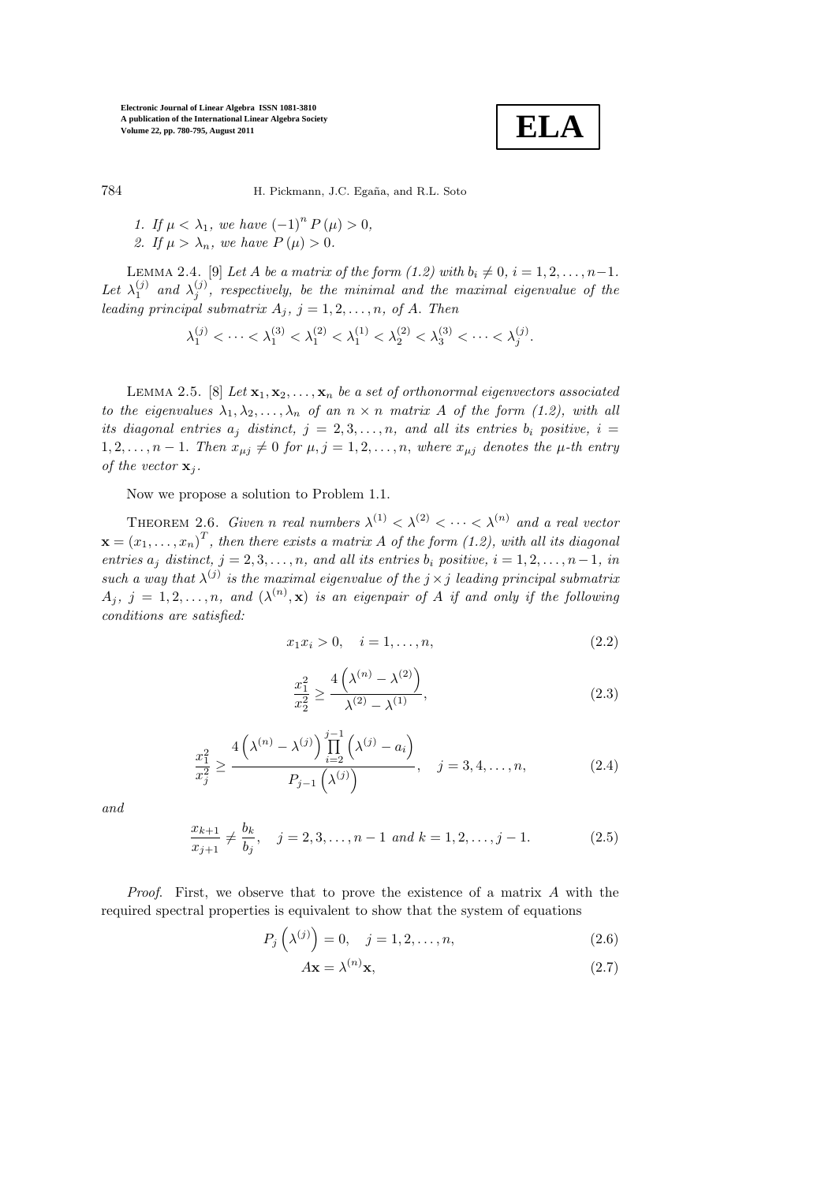

784 H. Pickmann, J.C. Egaña, and R.L. Soto

1. If  $\mu < \lambda_1$ , we have  $(-1)^n P(\mu) > 0$ , 2. If  $\mu > \lambda_n$ , we have  $P(\mu) > 0$ .

LEMMA 2.4. [9] Let A be a matrix of the form  $(1.2)$  with  $b_i \neq 0, i = 1, 2, \ldots, n-1$ . Let  $\lambda_1^{(j)}$  and  $\lambda_j^{(j)}$ , respectively, be the minimal and the maximal eigenvalue of the leading principal submatrix  $A_j$ ,  $j = 1, 2, \ldots, n$ , of A. Then

$$
\lambda_1^{(j)} < \cdots < \lambda_1^{(3)} < \lambda_1^{(2)} < \lambda_1^{(1)} < \lambda_2^{(2)} < \lambda_3^{(3)} < \cdots < \lambda_j^{(j)}.
$$

LEMMA 2.5. [8] Let  $\mathbf{x}_1, \mathbf{x}_2, \ldots, \mathbf{x}_n$  be a set of orthonormal eigenvectors associated to the eigenvalues  $\lambda_1, \lambda_2, \ldots, \lambda_n$  of an  $n \times n$  matrix A of the form (1.2), with all its diagonal entries  $a_i$  distinct,  $j = 2, 3, \ldots, n$ , and all its entries  $b_i$  positive,  $i =$  $1, 2, \ldots, n-1$ . Then  $x_{\mu j} \neq 0$  for  $\mu, j = 1, 2, \ldots, n$ , where  $x_{\mu j}$  denotes the  $\mu$ -th entry of the vector  $\mathbf{x}_i$ .

Now we propose a solution to Problem 1.1.

THEOREM 2.6. Given n real numbers  $\lambda^{(1)} < \lambda^{(2)} < \cdots < \lambda^{(n)}$  and a real vector  $\mathbf{x} = {(x_1, \ldots, x_n)}^T,$  then there exists a matrix A of the form (1.2), with all its diagonal entries  $a_j$  distinct,  $j = 2, 3, \ldots, n$ , and all its entries  $b_i$  positive,  $i = 1, 2, \ldots, n-1$ , in such a way that  $\lambda^{(j)}$  is the maximal eigenvalue of the  $j \times j$  leading principal submatrix  $A_j, j = 1, 2, \ldots, n$ , and  $(\lambda^{(n)}, \mathbf{x})$  is an eigenpair of A if and only if the following conditions are satisfied:

$$
x_1 x_i > 0, \quad i = 1, \dots, n,
$$
\n(2.2)

$$
\frac{x_1^2}{x_2^2} \ge \frac{4\left(\lambda^{(n)} - \lambda^{(2)}\right)}{\lambda^{(2)} - \lambda^{(1)}},\tag{2.3}
$$

$$
\frac{x_1^2}{x_j^2} \ge \frac{4\left(\lambda^{(n)} - \lambda^{(j)}\right) \prod_{i=2}^{j-1} \left(\lambda^{(j)} - a_i\right)}{P_{j-1}\left(\lambda^{(j)}\right)}, \quad j = 3, 4, \dots, n,
$$
\n(2.4)

and

$$
\frac{x_{k+1}}{x_{j+1}} \neq \frac{b_k}{b_j}, \quad j = 2, 3, \dots, n-1 \text{ and } k = 1, 2, \dots, j-1.
$$
 (2.5)

*Proof.* First, we observe that to prove the existence of a matrix  $\vec{A}$  with the required spectral properties is equivalent to show that the system of equations

$$
P_j\left(\lambda^{(j)}\right) = 0, \quad j = 1, 2, \dots, n,
$$
\n<sup>(2.6)</sup>

$$
A\mathbf{x} = \lambda^{(n)}\mathbf{x},\tag{2.7}
$$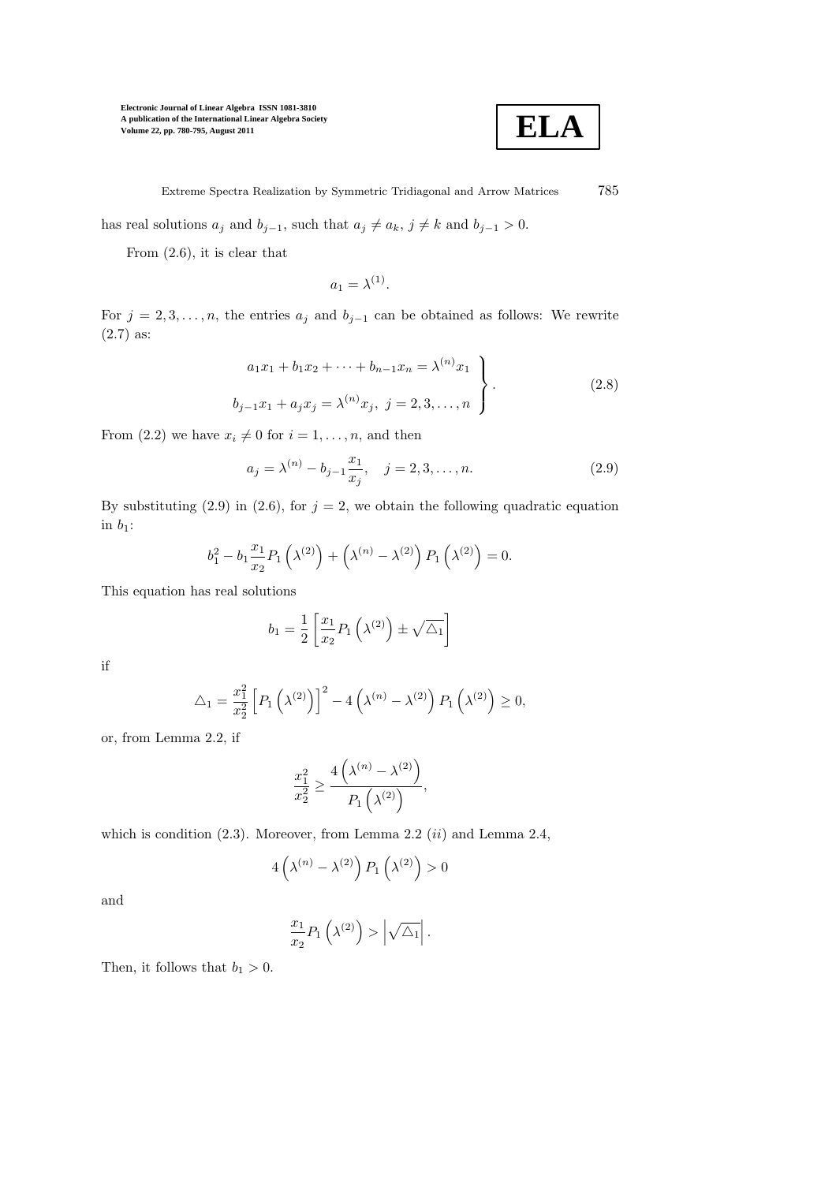

Extreme Spectra Realization by Symmetric Tridiagonal and Arrow Matrices 785

has real solutions  $a_j$  and  $b_{j-1}$ , such that  $a_j \neq a_k$ ,  $j \neq k$  and  $b_{j-1} > 0$ .

From (2.6), it is clear that

$$
a_1 = \lambda^{(1)}.
$$

For  $j = 2, 3, \ldots, n$ , the entries  $a_j$  and  $b_{j-1}$  can be obtained as follows: We rewrite (2.7) as:

$$
a_1x_1 + b_1x_2 + \dots + b_{n-1}x_n = \lambda^{(n)}x_1
$$
  
\n
$$
b_{j-1}x_1 + a_jx_j = \lambda^{(n)}x_j, \ j = 2, 3, \dots, n
$$
\n(2.8)

From (2.2) we have  $x_i \neq 0$  for  $i = 1, \ldots, n$ , and then

$$
a_j = \lambda^{(n)} - b_{j-1} \frac{x_1}{x_j}, \quad j = 2, 3, \dots, n.
$$
 (2.9)

By substituting (2.9) in (2.6), for  $j = 2$ , we obtain the following quadratic equation in  $b_1$ :

$$
b_1^2 - b_1 \frac{x_1}{x_2} P_1 \left(\lambda^{(2)}\right) + \left(\lambda^{(n)} - \lambda^{(2)}\right) P_1 \left(\lambda^{(2)}\right) = 0.
$$

This equation has real solutions

$$
b_1 = \frac{1}{2} \left[ \frac{x_1}{x_2} P_1 \left( \lambda^{(2)} \right) \pm \sqrt{\Delta_1} \right]
$$

if

$$
\triangle_1 = \frac{x_1^2}{x_2^2} \left[ P_1 \left( \lambda^{(2)} \right) \right]^2 - 4 \left( \lambda^{(n)} - \lambda^{(2)} \right) P_1 \left( \lambda^{(2)} \right) \ge 0,
$$

or, from Lemma 2.2, if

$$
\frac{x_1^2}{x_2^2} \ge \frac{4\left(\lambda^{(n)} - \lambda^{(2)}\right)}{P_1\left(\lambda^{(2)}\right)},
$$

which is condition  $(2.3)$ . Moreover, from Lemma 2.2  $(ii)$  and Lemma 2.4,

$$
4\left(\lambda^{(n)}-\lambda^{(2)}\right)P_1\left(\lambda^{(2)}\right)>0
$$

and

$$
\frac{x_1}{x_2}P_1\left(\lambda^{(2)}\right) > \left|\sqrt{\triangle_1}\right|.
$$

Then, it follows that  $b_1 > 0$ .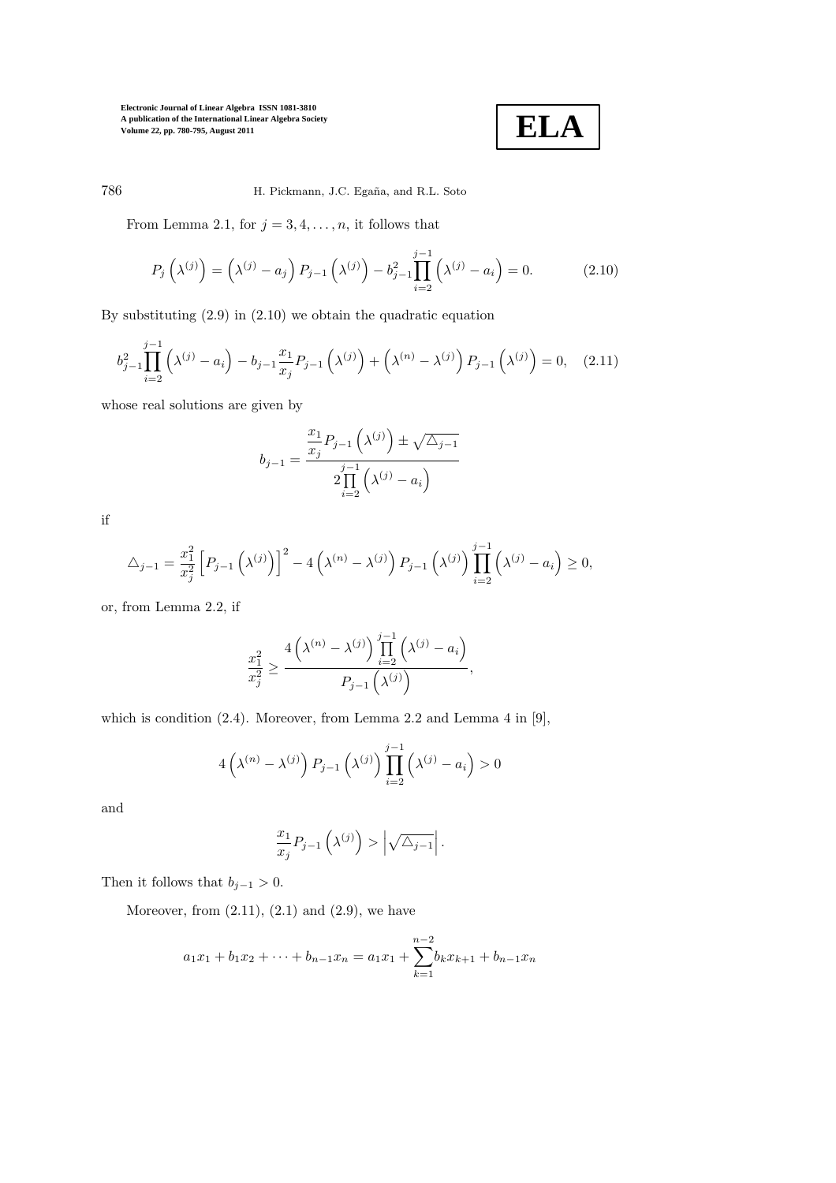$$
\boxed{\textbf{ELA}}
$$

# 786 H. Pickmann, J.C. Egaña, and R.L. Soto

From Lemma 2.1, for  $j = 3, 4, \ldots, n$ , it follows that

$$
P_j\left(\lambda^{(j)}\right) = \left(\lambda^{(j)} - a_j\right)P_{j-1}\left(\lambda^{(j)}\right) - b_{j-1}^2 \prod_{i=2}^{j-1} \left(\lambda^{(j)} - a_i\right) = 0. \tag{2.10}
$$

By substituting (2.9) in (2.10) we obtain the quadratic equation

$$
b_{j-1}^2 \prod_{i=2}^{j-1} \left(\lambda^{(j)} - a_i\right) - b_{j-1} \frac{x_1}{x_j} P_{j-1}\left(\lambda^{(j)}\right) + \left(\lambda^{(n)} - \lambda^{(j)}\right) P_{j-1}\left(\lambda^{(j)}\right) = 0, \quad (2.11)
$$

whose real solutions are given by

$$
b_{j-1} = \frac{\frac{x_1}{x_j} P_{j-1}(\lambda^{(j)}) \pm \sqrt{\Delta_{j-1}}}{2 \prod_{i=2}^{j-1} (\lambda^{(j)} - a_i)}
$$

if

$$
\triangle_{j-1} = \frac{x_1^2}{x_j^2} \left[ P_{j-1} \left( \lambda^{(j)} \right) \right]^2 - 4 \left( \lambda^{(n)} - \lambda^{(j)} \right) P_{j-1} \left( \lambda^{(j)} \right) \prod_{i=2}^{j-1} \left( \lambda^{(j)} - a_i \right) \ge 0,
$$

or, from Lemma 2.2, if

$$
\frac{x_1^2}{x_j^2} \ge \frac{4\left(\lambda^{(n)} - \lambda^{(j)}\right) \prod_{i=2}^{j-1} \left(\lambda^{(j)} - a_i\right)}{P_{j-1}\left(\lambda^{(j)}\right)},
$$

which is condition (2.4). Moreover, from Lemma 2.2 and Lemma 4 in [9],

$$
4\left(\lambda^{(n)}-\lambda^{(j)}\right)P_{j-1}\left(\lambda^{(j)}\right)\prod_{i=2}^{j-1}\left(\lambda^{(j)}-a_i\right)>0
$$

and

$$
\frac{x_1}{x_j} P_{j-1}\left(\lambda^{(j)}\right) > \left|\sqrt{\Delta_{j-1}}\right|.
$$

Then it follows that  $b_{j-1} > 0$ .

Moreover, from  $(2.11)$ ,  $(2.1)$  and  $(2.9)$ , we have

$$
a_1x_1 + b_1x_2 + \dots + b_{n-1}x_n = a_1x_1 + \sum_{k=1}^{n-2} b_kx_{k+1} + b_{n-1}x_n
$$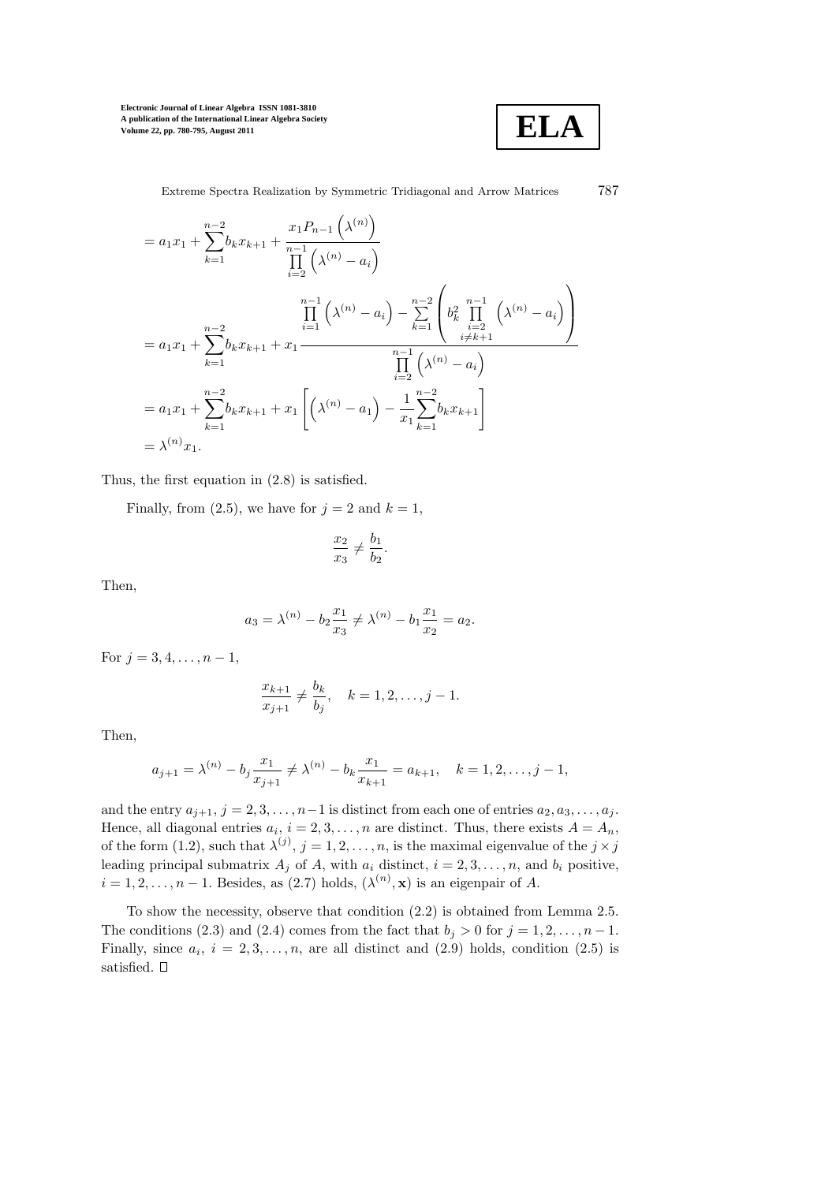

Extreme Spectra Realization by Symmetric Tridiagonal and Arrow Matrices 787

$$
= a_1 x_1 + \sum_{k=1}^{n-2} b_k x_{k+1} + \frac{x_1 P_{n-1}(\lambda^{(n)})}{\prod_{i=2}^{n-1} (\lambda^{(n)} - a_i)}
$$
  
\n
$$
= a_1 x_1 + \sum_{k=1}^{n-2} b_k x_{k+1} + x_1 \frac{\prod_{i=1}^{n-1} (\lambda^{(n)} - a_i) - \sum_{k=1}^{n-2} \left( b_k^2 \prod_{i=2}^{n-1} (\lambda^{(n)} - a_i) \right)}{\prod_{i=2}^{n-1} (\lambda^{(n)} - a_i)}
$$
  
\n
$$
= a_1 x_1 + \sum_{k=1}^{n-2} b_k x_{k+1} + x_1 \left[ (\lambda^{(n)} - a_1) - \frac{1}{x_1} \sum_{k=1}^{n-2} b_k x_{k+1} \right]
$$
  
\n
$$
= \lambda^{(n)} x_1.
$$

Thus, the first equation in (2.8) is satisfied.

Finally, from (2.5), we have for  $j = 2$  and  $k = 1$ ,

$$
\frac{x_2}{x_3} \neq \frac{b_1}{b_2}.
$$

Then,

$$
a_3 = \lambda^{(n)} - b_2 \frac{x_1}{x_3} \neq \lambda^{(n)} - b_1 \frac{x_1}{x_2} = a_2.
$$

For  $j = 3, 4, \ldots, n - 1$ ,

$$
\frac{x_{k+1}}{x_{j+1}} \neq \frac{b_k}{b_j}, \quad k = 1, 2, \dots, j-1.
$$

Then,

$$
a_{j+1} = \lambda^{(n)} - b_j \frac{x_1}{x_{j+1}} \neq \lambda^{(n)} - b_k \frac{x_1}{x_{k+1}} = a_{k+1}, \quad k = 1, 2, \dots, j-1,
$$

and the entry  $a_{j+1}, j = 2, 3, \ldots, n-1$  is distinct from each one of entries  $a_2, a_3, \ldots, a_j$ . Hence, all diagonal entries  $a_i$ ,  $i = 2, 3, ..., n$  are distinct. Thus, there exists  $A = A_n$ , of the form (1.2), such that  $\lambda^{(j)}$ ,  $j = 1, 2, \ldots, n$ , is the maximal eigenvalue of the  $j \times j$ leading principal submatrix  $A_j$  of A, with  $a_i$  distinct,  $i = 2, 3, ..., n$ , and  $b_i$  positive,  $i = 1, 2, \dots, n - 1$ . Besides, as (2.7) holds,  $(\lambda^{(n)}, \mathbf{x})$  is an eigenpair of A.

To show the necessity, observe that condition (2.2) is obtained from Lemma 2.5. The conditions (2.3) and (2.4) comes from the fact that  $b_i > 0$  for  $j = 1, 2, \ldots, n - 1$ . Finally, since  $a_i$ ,  $i = 2, 3, ..., n$ , are all distinct and  $(2.9)$  holds, condition  $(2.5)$  is satisfied.  $\Box$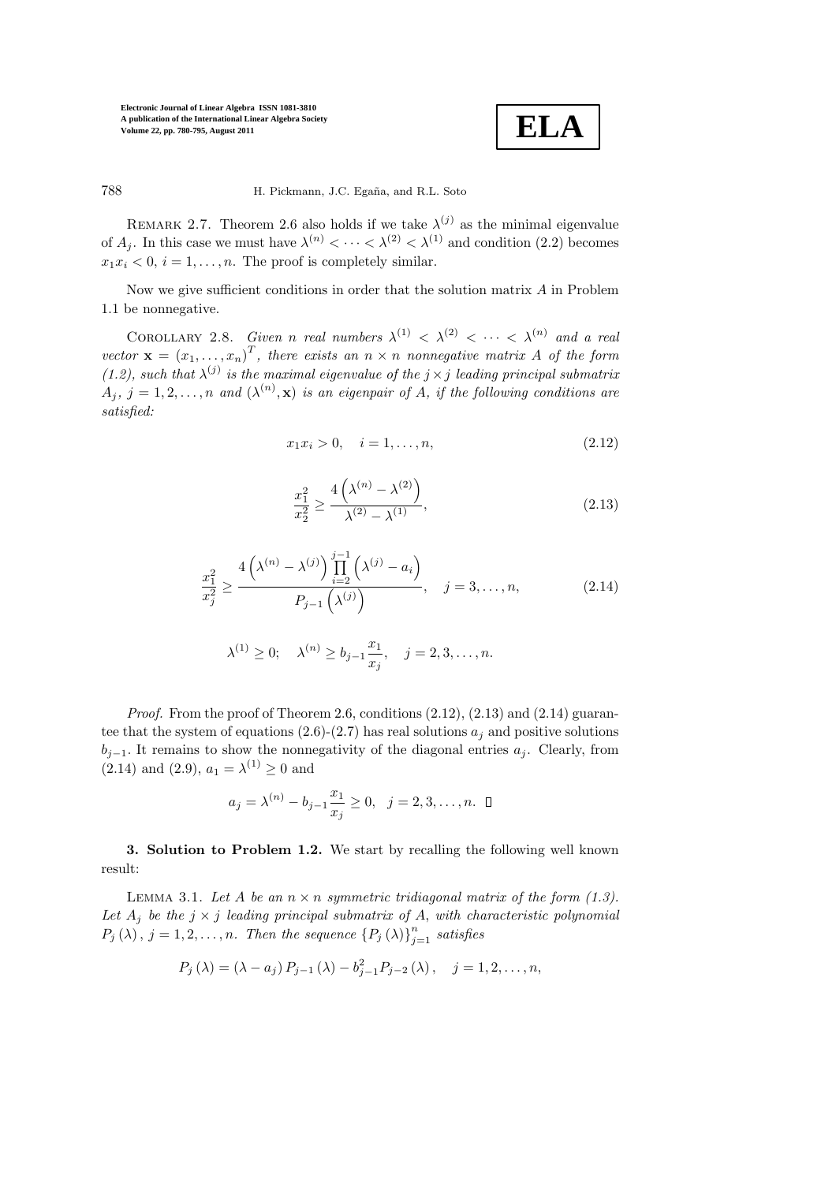

788 H. Pickmann, J.C. Egaña, and R.L. Soto

REMARK 2.7. Theorem 2.6 also holds if we take  $\lambda^{(j)}$  as the minimal eigenvalue of  $A_j$ . In this case we must have  $\lambda^{(n)} < \cdots < \lambda^{(2)} < \lambda^{(1)}$  and condition (2.2) becomes  $x_1x_i < 0, i = 1, \ldots, n$ . The proof is completely similar.

Now we give sufficient conditions in order that the solution matrix  $A$  in Problem 1.1 be nonnegative.

COROLLARY 2.8. Given n real numbers  $\lambda^{(1)} < \lambda^{(2)} < \cdots < \lambda^{(n)}$  and a real vector  $\mathbf{x} = (x_1, ..., x_n)^T$ , there exists an  $n \times n$  nonnegative matrix A of the form (1.2), such that  $\lambda^{(j)}$  is the maximal eigenvalue of the  $j \times j$  leading principal submatrix  $A_j, j = 1, 2, \ldots, n$  and  $(\lambda^{(n)}, \mathbf{x})$  is an eigenpair of A, if the following conditions are satisfied:

$$
x_1 x_i > 0, \quad i = 1, \dots, n,
$$
\n<sup>(2.12)</sup>

$$
\frac{x_1^2}{x_2^2} \ge \frac{4\left(\lambda^{(n)} - \lambda^{(2)}\right)}{\lambda^{(2)} - \lambda^{(1)}},\tag{2.13}
$$

$$
\frac{x_1^2}{x_j^2} \ge \frac{4\left(\lambda^{(n)} - \lambda^{(j)}\right) \prod_{i=2}^{j-1} \left(\lambda^{(j)} - a_i\right)}{P_{j-1}\left(\lambda^{(j)}\right)}, \quad j = 3, \dots, n,
$$
\n(2.14)

$$
\lambda^{(1)} \ge 0;
$$
,  $\lambda^{(n)} \ge b_{j-1} \frac{x_1}{x_j}, \quad j = 2, 3, ..., n.$ 

*Proof.* From the proof of Theorem 2.6, conditions  $(2.12)$ ,  $(2.13)$  and  $(2.14)$  guarantee that the system of equations (2.6)-(2.7) has real solutions  $a_i$  and positive solutions  $b_{i-1}$ . It remains to show the nonnegativity of the diagonal entries  $a_i$ . Clearly, from  $(2.14)$  and  $(2.9)$ ,  $a_1 = \lambda^{(1)} \ge 0$  and

$$
a_j = \lambda^{(n)} - b_{j-1} \frac{x_1}{x_j} \ge 0, \ \ j = 2, 3, ..., n.
$$

3. Solution to Problem 1.2. We start by recalling the following well known result:

LEMMA 3.1. Let A be an  $n \times n$  symmetric tridiagonal matrix of the form (1.3). Let  $A_j$  be the  $j \times j$  leading principal submatrix of A, with characteristic polynomial  $P_j(\lambda), j = 1, 2, \ldots, n$ . Then the sequence  $\{P_j(\lambda)\}_{j=1}^n$  satisfies

$$
P_j(\lambda) = (\lambda - a_j) P_{j-1}(\lambda) - b_{j-1}^2 P_{j-2}(\lambda), \quad j = 1, 2, ..., n,
$$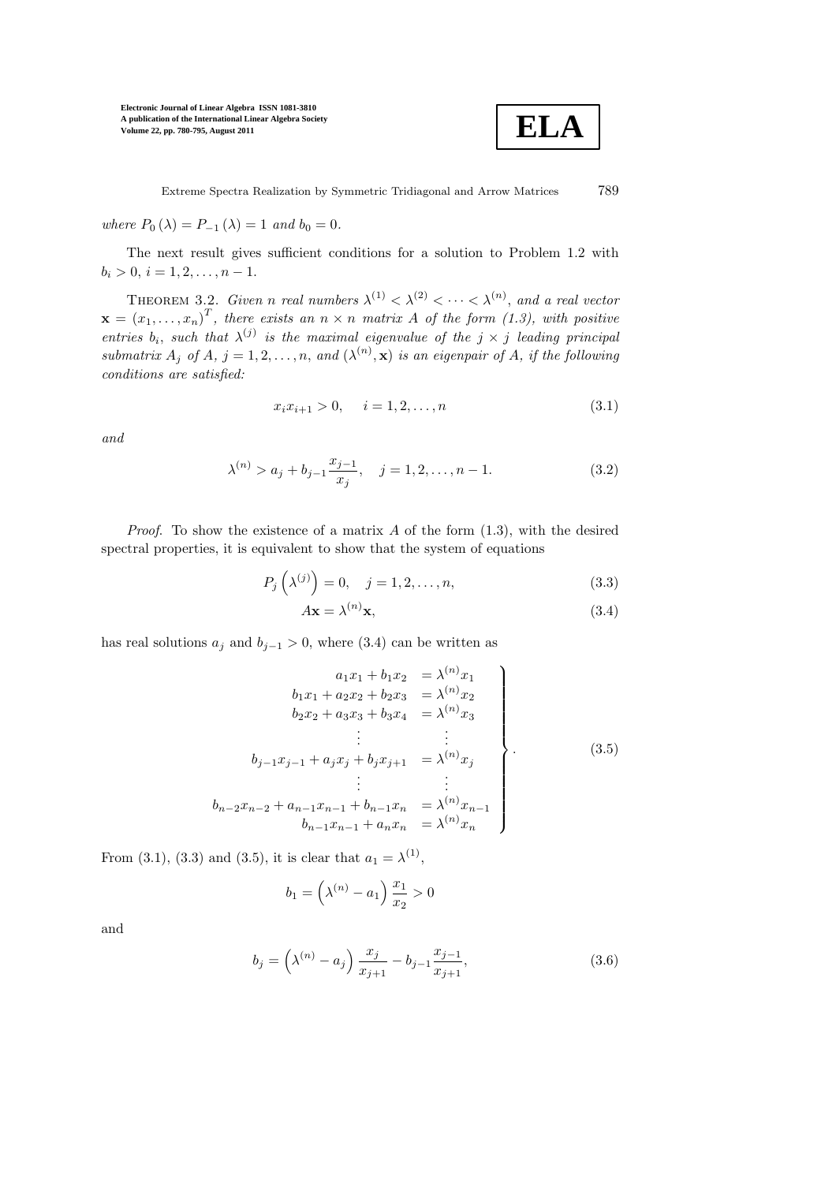

where  $P_0(\lambda) = P_{-1}(\lambda) = 1$  and  $b_0 = 0$ .

The next result gives sufficient conditions for a solution to Problem 1.2 with  $b_i > 0, i = 1, 2, \ldots, n - 1.$ 

THEOREM 3.2. Given n real numbers  $\lambda^{(1)} < \lambda^{(2)} < \cdots < \lambda^{(n)}$ , and a real vector  $\mathbf{x} = (x_1, \ldots, x_n)^T$ , there exists an  $n \times n$  matrix A of the form (1.3), with positive entries  $b_i$ , such that  $\lambda^{(j)}$  is the maximal eigenvalue of the  $j \times j$  leading principal submatrix  $A_j$  of  $A, j = 1, 2, ..., n$ , and  $(\lambda^{(n)}, \mathbf{x})$  is an eigenpair of  $A$ , if the following conditions are satisfied:

$$
x_i x_{i+1} > 0, \quad i = 1, 2, \dots, n \tag{3.1}
$$

and

$$
\lambda^{(n)} > a_j + b_{j-1} \frac{x_{j-1}}{x_j}, \quad j = 1, 2, \dots, n-1.
$$
 (3.2)

*Proof.* To show the existence of a matrix A of the form  $(1.3)$ , with the desired spectral properties, it is equivalent to show that the system of equations

$$
P_j\left(\lambda^{(j)}\right) = 0, \quad j = 1, 2, \dots, n,
$$
\n
$$
(3.3)
$$

$$
A\mathbf{x} = \lambda^{(n)}\mathbf{x},\tag{3.4}
$$

has real solutions  $a_j$  and  $b_{j-1} > 0$ , where (3.4) can be written as

$$
a_1x_1 + b_1x_2 = \lambda^{(n)}x_1
$$
  
\n
$$
b_1x_1 + a_2x_2 + b_2x_3 = \lambda^{(n)}x_2
$$
  
\n
$$
b_2x_2 + a_3x_3 + b_3x_4 = \lambda^{(n)}x_3
$$
  
\n
$$
\vdots \qquad \vdots
$$
  
\n
$$
b_{j-1}x_{j-1} + a_jx_j + b_jx_{j+1} = \lambda^{(n)}x_j
$$
  
\n
$$
\vdots \qquad \vdots
$$
  
\n
$$
b_{n-2}x_{n-2} + a_{n-1}x_{n-1} + b_{n-1}x_n = \lambda^{(n)}x_{n-1}
$$
  
\n
$$
b_{n-1}x_{n-1} + a_nx_n = \lambda^{(n)}x_n
$$
\n(3.5)

From (3.1), (3.3) and (3.5), it is clear that  $a_1 = \lambda^{(1)}$ ,

$$
b_1 = \left(\lambda^{(n)} - a_1\right) \frac{x_1}{x_2} > 0
$$

and

$$
b_j = \left(\lambda^{(n)} - a_j\right) \frac{x_j}{x_{j+1}} - b_{j-1} \frac{x_{j-1}}{x_{j+1}},\tag{3.6}
$$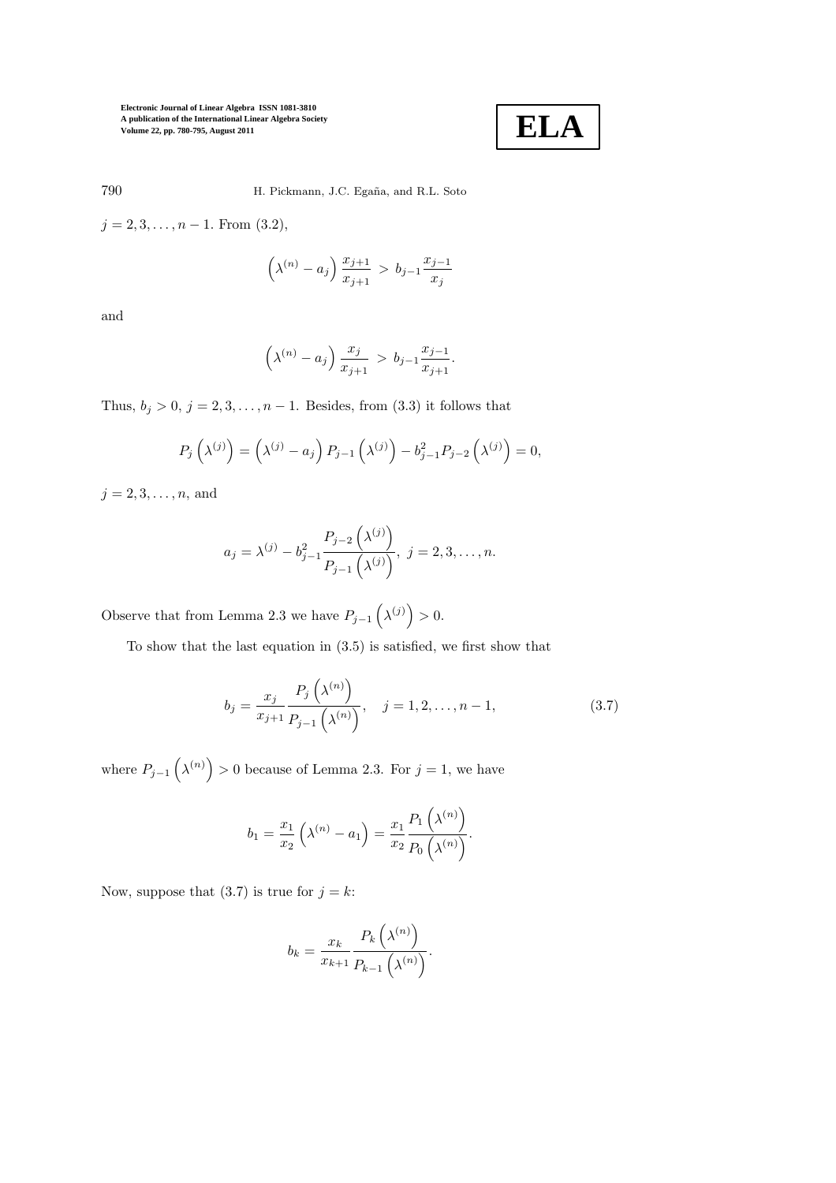

790 H. Pickmann, J.C. Egaña, and R.L. Soto

 $j = 2, 3, \ldots, n - 1$ . From  $(3.2)$ ,

$$
\left(\lambda^{(n)} - a_j\right) \frac{x_{j+1}}{x_{j+1}} > b_{j-1} \frac{x_{j-1}}{x_j}
$$

and

$$
(\lambda^{(n)} - a_j) \frac{x_j}{x_{j+1}} > b_{j-1} \frac{x_{j-1}}{x_{j+1}}.
$$

Thus,  $b_j > 0$ ,  $j = 2, 3, ..., n - 1$ . Besides, from  $(3.3)$  it follows that

$$
P_j\left(\lambda^{(j)}\right) = \left(\lambda^{(j)} - a_j\right)P_{j-1}\left(\lambda^{(j)}\right) - b_{j-1}^2 P_{j-2}\left(\lambda^{(j)}\right) = 0,
$$

 $j = 2, 3, ..., n$ , and

$$
a_j = \lambda^{(j)} - b_{j-1}^2 \frac{P_{j-2}(\lambda^{(j)})}{P_{j-1}(\lambda^{(j)})}, \ j = 2, 3, \dots, n.
$$

Observe that from Lemma 2.3 we have  $P_{j-1}(\lambda^{(j)}) > 0$ .

To show that the last equation in (3.5) is satisfied, we first show that

$$
b_j = \frac{x_j}{x_{j+1}} \frac{P_j\left(\lambda^{(n)}\right)}{P_{j-1}\left(\lambda^{(n)}\right)}, \quad j = 1, 2, \dots, n-1,
$$
\n(3.7)

where  $P_{j-1}(\lambda^{(n)}) > 0$  because of Lemma 2.3. For  $j = 1$ , we have

$$
b_1 = \frac{x_1}{x_2} (\lambda^{(n)} - a_1) = \frac{x_1}{x_2} \frac{P_1 (\lambda^{(n)})}{P_0 (\lambda^{(n)})}.
$$

Now, suppose that  $(3.7)$  is true for  $j = k$ :

$$
b_k = \frac{x_k}{x_{k+1}} \frac{P_k\left(\lambda^{(n)}\right)}{P_{k-1}\left(\lambda^{(n)}\right)}.
$$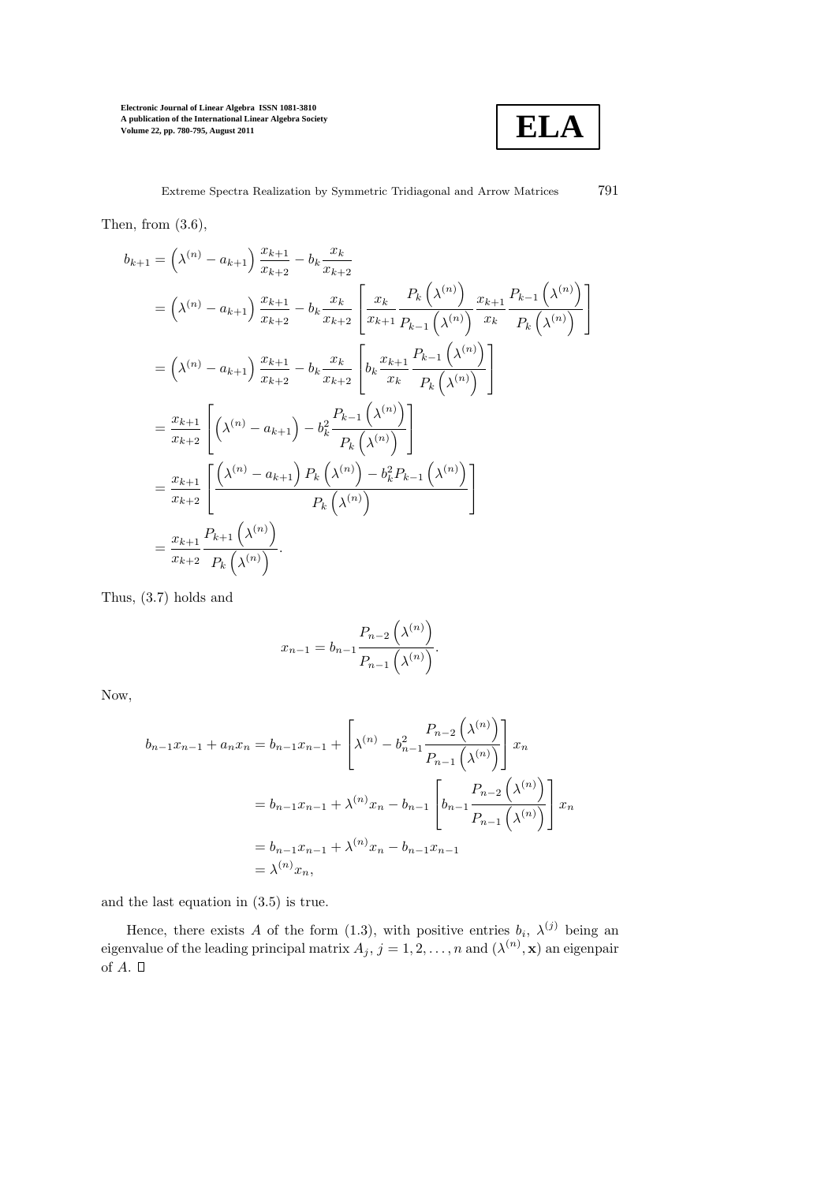

Then, from  $(3.6)$ ,

$$
b_{k+1} = (\lambda^{(n)} - a_{k+1}) \frac{x_{k+1}}{x_{k+2}} - b_k \frac{x_k}{x_{k+2}}
$$
  
\n
$$
= (\lambda^{(n)} - a_{k+1}) \frac{x_{k+1}}{x_{k+2}} - b_k \frac{x_k}{x_{k+2}} \left[ \frac{x_k}{x_{k+1}} \frac{P_k(\lambda^{(n)})}{P_{k-1}(\lambda^{(n)})} \frac{x_{k+1}}{P_k(\lambda^{(n)})} \right]
$$
  
\n
$$
= (\lambda^{(n)} - a_{k+1}) \frac{x_{k+1}}{x_{k+2}} - b_k \frac{x_k}{x_{k+2}} \left[ b_k \frac{x_{k+1}}{x_k} \frac{P_{k-1}(\lambda^{(n)})}{P_k(\lambda^{(n)})} \right]
$$
  
\n
$$
= \frac{x_{k+1}}{x_{k+2}} \left[ (\lambda^{(n)} - a_{k+1}) - b_k^2 \frac{P_{k-1}(\lambda^{(n)})}{P_k(\lambda^{(n)})} \right]
$$
  
\n
$$
= \frac{x_{k+1}}{x_{k+2}} \left[ \frac{(\lambda^{(n)} - a_{k+1}) P_k(\lambda^{(n)}) - b_k^2 P_{k-1}(\lambda^{(n)})}{P_k(\lambda^{(n)})} \right]
$$
  
\n
$$
= \frac{x_{k+1}}{x_{k+2}} \frac{P_{k+1}(\lambda^{(n)})}{P_k(\lambda^{(n)})}.
$$

Thus, (3.7) holds and

$$
x_{n-1} = b_{n-1} \frac{P_{n-2}(\lambda^{(n)})}{P_{n-1}(\lambda^{(n)})}.
$$

Now,

$$
b_{n-1}x_{n-1} + a_nx_n = b_{n-1}x_{n-1} + \left[\lambda^{(n)} - b_{n-1}^2 \frac{P_{n-2}(\lambda^{(n)})}{P_{n-1}(\lambda^{(n)})}\right]x_n
$$
  
=  $b_{n-1}x_{n-1} + \lambda^{(n)}x_n - b_{n-1}\left[b_{n-1} \frac{P_{n-2}(\lambda^{(n)})}{P_{n-1}(\lambda^{(n)})}\right]x_n$   
=  $b_{n-1}x_{n-1} + \lambda^{(n)}x_n - b_{n-1}x_{n-1}$   
=  $\lambda^{(n)}x_n$ ,

and the last equation in (3.5) is true.

Hence, there exists A of the form (1.3), with positive entries  $b_i$ ,  $\lambda^{(j)}$  being an eigenvalue of the leading principal matrix  $A_j, j = 1, 2, ..., n$  and  $(\lambda^{(n)}, \mathbf{x})$  an eigenpair of  $A. \Box$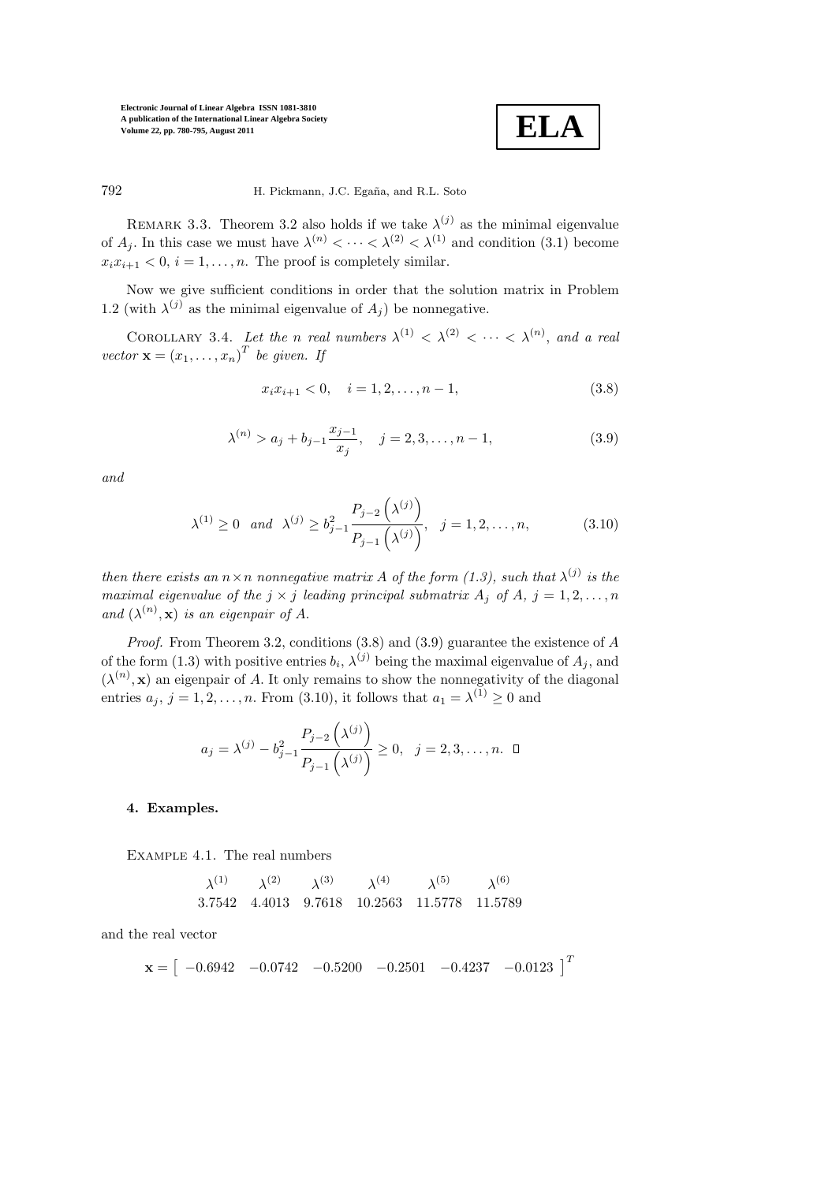

792 H. Pickmann, J.C. Egaña, and R.L. Soto

REMARK 3.3. Theorem 3.2 also holds if we take  $\lambda^{(j)}$  as the minimal eigenvalue of  $A_j$ . In this case we must have  $\lambda^{(n)} < \cdots < \lambda^{(2)} < \lambda^{(1)}$  and condition (3.1) become  $x_i x_{i+1} < 0, i = 1, \ldots, n$ . The proof is completely similar.

Now we give sufficient conditions in order that the solution matrix in Problem 1.2 (with  $\lambda^{(j)}$  as the minimal eigenvalue of  $A_j$ ) be nonnegative.

COROLLARY 3.4. Let the n real numbers  $\lambda^{(1)} < \lambda^{(2)} < \cdots < \lambda^{(n)}$ , and a real vector  $\mathbf{x} = (x_1, \dots, x_n)^T$  be given. If

$$
x_i x_{i+1} < 0, \quad i = 1, 2, \dots, n-1,\tag{3.8}
$$

$$
\lambda^{(n)} > a_j + b_{j-1} \frac{x_{j-1}}{x_j}, \quad j = 2, 3, \dots, n-1,
$$
\n(3.9)

and

$$
\lambda^{(1)} \ge 0 \quad and \quad \lambda^{(j)} \ge b_{j-1}^2 \frac{P_{j-2}(\lambda^{(j)})}{P_{j-1}(\lambda^{(j)})}, \quad j = 1, 2, ..., n,
$$
 (3.10)

then there exists an  $n \times n$  nonnegative matrix A of the form  $(1.3)$ , such that  $\lambda^{(j)}$  is the maximal eigenvalue of the  $j \times j$  leading principal submatrix  $A_j$  of  $A_j$ ,  $j = 1, 2, \ldots, n$ and  $(\lambda^{(n)}, \mathbf{x})$  is an eigenpair of A.

Proof. From Theorem 3.2, conditions (3.8) and (3.9) guarantee the existence of A of the form (1.3) with positive entries  $b_i$ ,  $\lambda^{(j)}$  being the maximal eigenvalue of  $A_j$ , and  $(\lambda^{(n)}, \mathbf{x})$  an eigenpair of A. It only remains to show the nonnegativity of the diagonal entries  $a_j$ ,  $j = 1, 2, ..., n$ . From (3.10), it follows that  $a_1 = \lambda^{(1)} \geq 0$  and

$$
a_j = \lambda^{(j)} - b_{j-1}^2 \frac{P_{j-2}(\lambda^{(j)})}{P_{j-1}(\lambda^{(j)})} \ge 0, \ \ j = 2, 3, ..., n.
$$

### 4. Examples.

Example 4.1. The real numbers

$$
\begin{array}{cccccc}\n\lambda^{(1)} & \lambda^{(2)} & \lambda^{(3)} & \lambda^{(4)} & \lambda^{(5)} & \lambda^{(6)} \\
3.7542 & 4.4013 & 9.7618 & 10.2563 & 11.5778 & 11.5789\n\end{array}
$$

and the real vector

$$
\mathbf{x} = \begin{bmatrix} -0.6942 & -0.0742 & -0.5200 & -0.2501 & -0.4237 & -0.0123 \end{bmatrix}^T
$$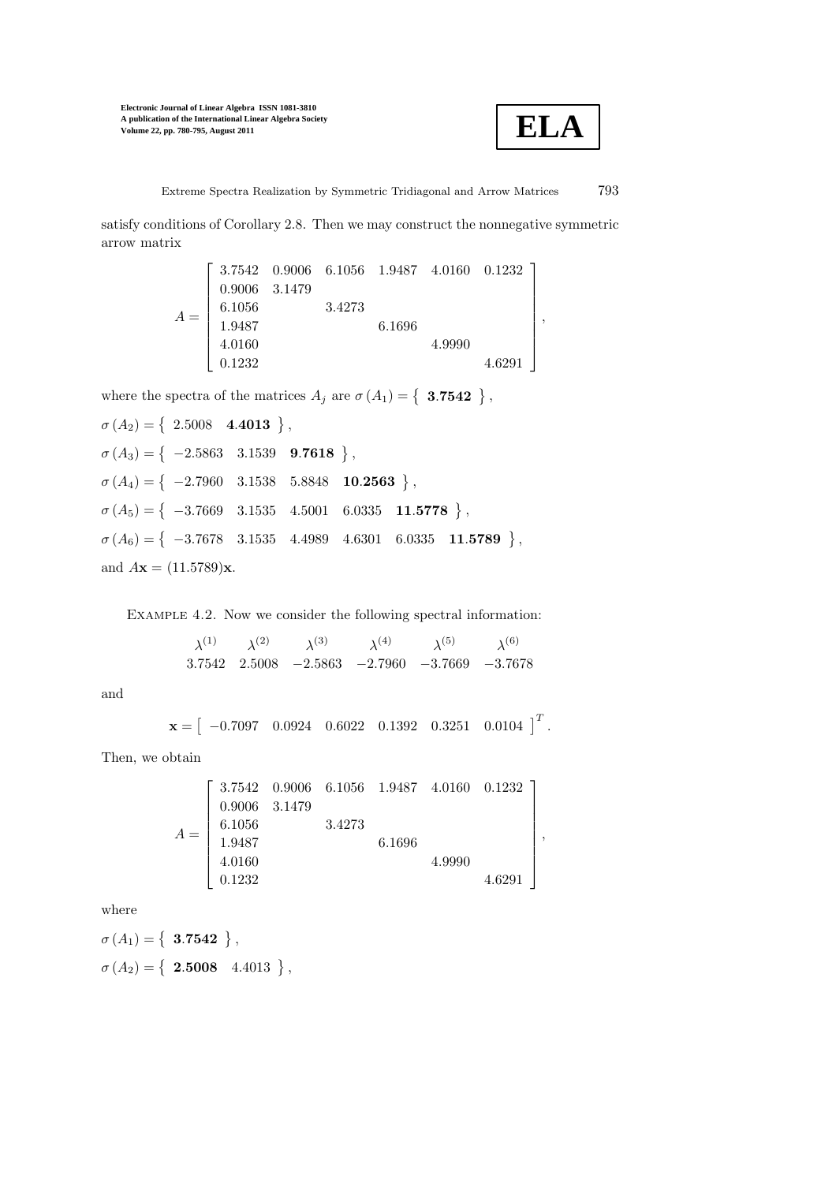

Extreme Spectra Realization by Symmetric Tridiagonal and Arrow Matrices 793

satisfy conditions of Corollary 2.8. Then we may construct the nonnegative symmetric arrow matrix

|       | $\left[\begin{array}{cccccc}3.7542&0.9006&6.1056&1.9487&4.0160&0.1232\end{array}\right]$ |        |        |        |        |  |
|-------|------------------------------------------------------------------------------------------|--------|--------|--------|--------|--|
| $A =$ | 0.9006 3.1479                                                                            |        |        |        |        |  |
|       | 6.1056                                                                                   | 3.4273 |        |        |        |  |
|       | 1.9487                                                                                   |        | 6.1696 |        |        |  |
|       | 4.0160                                                                                   |        |        | 4.9990 |        |  |
|       | 0.1232                                                                                   |        |        |        | 4.6291 |  |

where the spectra of the matrices  $A_j$  are  $\sigma(A_1) = \{ 3.7542 \}$ ,

 $\sigma\left(A_2\right)=\left\{\begin{array}{cc} 2.5008 & 4.4013 \end{array}\right\},$  $\sigma(A_3) = \left\{ \begin{array}{cc} -2.5863 & 3.1539 & 9.7618 \end{array} \right\},$  $\sigma(A_4) = \left\{ \begin{array}{ccc} -2.7960 & 3.1538 & 5.8848 & \textbf{10.2563} \end{array} \right\},$  $\sigma(A_5) = \left\{ \begin{array}{ccc} -3.7669 & 3.1535 & 4.5001 & 6.0335 & \textbf{11.5778} \end{array} \right\},$  $\sigma(A_6) = \left\{ \begin{array}{ccc} -3.7678 & 3.1535 & 4.4989 & 4.6301 & 6.0335 & \textbf{11.5789} \end{array} \right\},$ and  $A**x** = (11.5789)**x**$ .

Example 4.2. Now we consider the following spectral information:

 $\lambda^{(1)}\qquad \lambda^{(2)}\qquad \lambda^{(3)}\qquad \lambda^{(4)}\qquad \lambda^{(5)}\qquad \lambda$  $\lambda^{(6)}$ 3.7542 2.5008 −2.5863 −2.7960 −3.7669 −3.7678

and

$$
\mathbf{x} = \begin{bmatrix} -0.7097 & 0.0924 & 0.6022 & 0.1392 & 0.3251 & 0.0104 \end{bmatrix}^T.
$$

Then, we obtain

$$
A = \left[\begin{array}{cccc}3.7542&0.9006&6.1056&1.9487&4.0160&0.1232\\0.9006&3.1479\\6.1056&3.4273\\1.9487&6.1696\\4.0160&4.9990\\0.1232&4.6291\end{array}\right],
$$

where

 $\sigma\left(A_{1}\right)=\left\{ \begin{array}{c} \textbf{3.7542} \end{array}\right\},$  $\sigma\left(A_{2}\right)=\left\{ \begin{array}{cc} \textbf{2.5008} & \textbf{4.4013} \end{array} \right\},$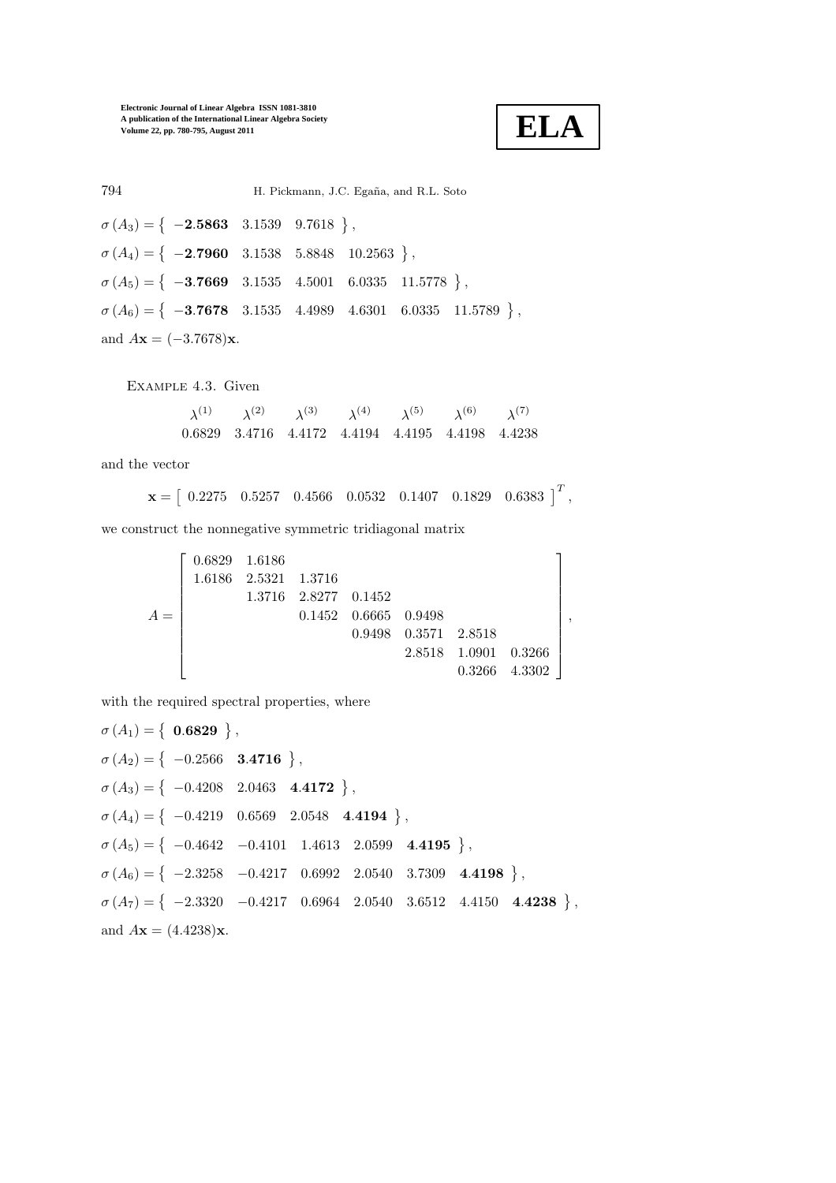**ELA**

794 H. Pickmann, J.C. Egaña, and R.L. Soto  $\sigma(A_3) = \left\{ \begin{array}{r} -2.5863 & 3.1539 & 9.7618 \end{array} \right\},$  $\sigma(A_4) = \left\{ \begin{array}{ccc} -2.7960 & 3.1538 & 5.8848 & 10.2563 \end{array} \right\},$  $\sigma(A_5) = \left\{ \begin{array}{ccc} -3.7669 & 3.1535 & 4.5001 & 6.0335 & 11.5778 \end{array} \right\},$  $\sigma(A_6) = \left\{ \begin{array}{ccc} -3.7678 & 3.1535 & 4.4989 & 4.6301 & 6.0335 & 11.5789 \end{array} \right\},$ and  $A**x** = (-3.7678)**x**$ .

Example 4.3. Given

 $\lambda^{(1)}\qquad \lambda^{(2)}\qquad \lambda^{(3)}\qquad \lambda^{(4)}\qquad \lambda^{(5)}\qquad \lambda^{(6)}\qquad \lambda^{(7)}$ 0.6829 3.4716 4.4172 4.4194 4.4195 4.4198 4.4238

and the vector

$$
\mathbf{x} = \begin{bmatrix} 0.2275 & 0.5257 & 0.4566 & 0.0532 & 0.1407 & 0.1829 & 0.6383 \end{bmatrix}^T,
$$

we construct the nonnegative symmetric tridiagonal matrix

 $A =$  $\sqrt{ }$  $\overline{\phantom{a}}$  $\overline{\phantom{a}}$  $\overline{1}$  $\overline{\phantom{a}}$  $\overline{1}$  $\overline{1}$  $\overline{1}$  $\overline{1}$  $\overline{1}$  $\overline{1}$ 0.6829 1.6186 1.6186 2.5321 1.3716 1.3716 2.8277 0.1452 0.1452 0.6665 0.9498 0.9498 0.3571 2.8518 2.8518 1.0901 0.3266 0.3266 4.3302 1  $\overline{1}$  $\overline{1}$  $\mathbf{I}$  $\overline{ }$  $\overline{1}$  $\overline{1}$  $\overline{1}$  $\overline{1}$  $\overline{1}$  $\overline{1}$ ,

with the required spectral properties, where

 $\sigma\left(A_{1}\right)=\left\{ \begin{array}{c} \textbf{0.6829} \end{array}\right\},$  $\sigma(A_2) = \left\{ \begin{array}{cc} -0.2566 & 3.4716 \end{array} \right\},$  $\sigma(A_3) = \left\{ \begin{array}{ccc} -0.4208 & 2.0463 & 4.4172 \end{array} \right\},$  $\sigma(A_4) = \left\{ \begin{array}{ccc} -0.4219 & 0.6569 & 2.0548 & 4.4194 \end{array} \right\},$  $\sigma(A_5) = \left\{ \begin{array}{ccc} -0.4642 & -0.4101 & 1.4613 & 2.0599 & 4.4195 \end{array} \right\},$  $\sigma(A_6) = \left\{ \begin{array}{ccc} -2.3258 & -0.4217 & 0.6992 & 2.0540 & 3.7309 & 4.4198 \end{array} \right\},$  $\sigma(A_7) = \left\{ \begin{array}{ccc} -2.3320 & -0.4217 & 0.6964 & 2.0540 & 3.6512 & 4.4150 & 4.4238 \end{array} \right\},$ and  $A**x** = (4.4238)**x**$ .